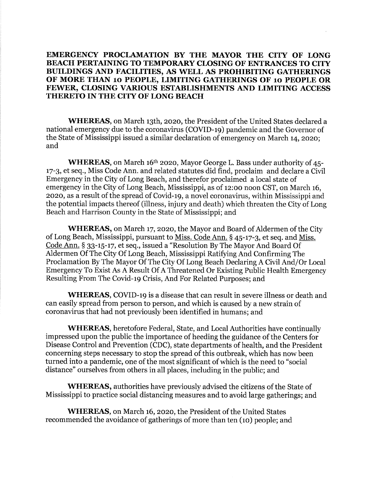## EMERGENCY PROCLAMATION BY THE MAYOR THE CITY OF LONG BEACH PERTAINING TO TEMPORARY CLOSING OF ENTRANCES TO CITY BUILDINGS AND FACILITIES, AS WELL AS PROHIBITING GATHERINGS OF MORE THAN 10 PEOPLE, LIMITING GATHERINGS OF 10 PEOPLE OR FEWER, CLOSING VARIOUS ESTABLISHMENTS AND LIMITING ACCESS THERETO IN THE CITYOF LONG BEACH

WHEREAS, on March 13th, 2o2o, the President of the United States declared a national emergency due to the coronavirus (COVID-Ig) pandemic and the Governor of the State of Mississippi issued a similar declaration of emergency on March t4,2o2o; and

**WHEREAS**, on March 16<sup>th</sup> 2020, Mayor George L. Bass under authority of 45-17-3, et seq., Miss Code Ann. and related statutes did find, proclaim and declare a Civil Emergency in the City of Long Beach, and therefor proclaimed a local state of emergency in the City of Long Beach, Mississippi, as of 12:oo noon CST, on March 16, 2o2o, as a result of the spread of Covid-rg, a novel coronavirus, within Mississippi and the potential impacts thereof (illness, injury and death) which threaten the City of Long Beach and Harrison County in the State of Mississippi; and

WHEREAS, on March 17, 2020, the Mayor and Board of Aldermen of the City of Long Beach, Mississippi, pursuant to Miss. Code Ann.  $\S$  45-17-3, et seq. and Miss. Code Ann. § 33-15-17, et seq., issued a "Resolution By The Mayor And Board Of Aldermen Of The City Of Long Beach, Mississippi Ratifying And Confirming The Proclamation By The Mayor Of The City Of Long Beach Declaring A Civil And/Or Local Emergency To Exist As A Result Of A Threatened Or Existing Public Health Emergency Resulting From The Covid-19 Crisis, And For Related Purposes; and

WHEREAS, COVID-I9 is a disease that can result in severe illness or death and can easily spread from person to person, and which is caused by a new strain of coronavirus that had not previously been identified in humans; and

WHEREAS, heretofore Federal, State, and Local Authorities have continually impressed upon the public the importance of heeding the guidance of the Centers for Disease Control and Prevention (CDC), state departments of health, and the President concerning steps necessary to stop the spread of this outbreak, which has now been turned into a pandemic, one of the most significant of which is the need to "social distance" ourselves from others in all places, including in the public; and

WHEREAS, authorities have previously advised the citizens of the State of Mississippi to practice social distancing measures and to avoid large gatherings; and

WHEREAS, on March 16,2o2o, the President of the United States recommended the avoidance of gatherings of more than ten (10) people; and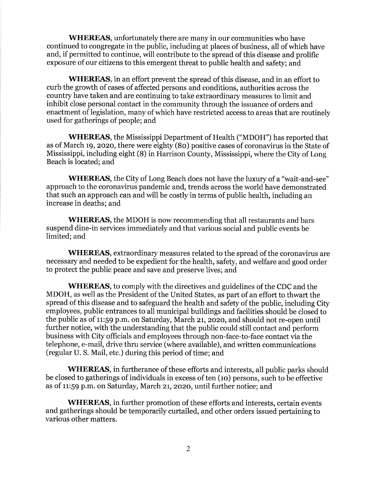WHEREAS, unfortunately there are many in our communities who have continued to congregate in the public, including at places of business, all of which have and, if permitted to continue, will contribute to the spread of this disease and prolific exposure of our citizens to this emergent threat to public health and safety; and

WHEREAS, in an effort prevent the spread of this disease, and in an effort to curb the growth of cases of affected persons and conditions, authorities across the country have taken and are continuing to take extraordinary measures to limit and inhibit close personal contact in the community through the issuance of orders and enactment of legislation, many of which have restricted access to areas that are routinely used for gatherings of people; and

WHEREAS, the Mississippi Department of Health ("MDOH") has reported that as of March 19, 2020, there were eighty (80) positive cases of coronavirus in the State of Mississippi, including eight (8) in Harrison County, Mississippi, where the City of Long Beach is located; and

WHBREAS, the City of Long Beach does not have the luxury of a "wait-and-see" approach to the coronavirus pandemic and, trends across the world have demonstrated that such an approach can and will be costly in terms of public health, including an increase in deaths; and

WHEREAS, the MDOH is now recommending that all restaurants and bars suspend dine-in services immediately and that various social and public events be limited; and

WHEREAS, extraordinary measures related to the spread of the coronavirus are necessary and needed to be expedient for the health, safety, and welfare and good order to protect the public peace and save and preserve lives; and

WHEREAS, to comply with the directives and guidelines of the CDC and the MDOH, as well as the President of the United States, as part of an effort to thwart the spread of this disease and to safeguard the health and safety of the public, including City employees, public entrances to all municipal buildings and facilities should be closed to the public as of 11:59 p.m. on Saturday, March 21, 2020, and should not re-open until further notice, with the understanding that the public could still contact and perform business with City officials and employees through non-face-to-face contact via the telephone, e-mail, drive thru service (where available), and written communications (regular U. S. Mail, etc.) during this period of time; and

WHEREAS, in furtherance of these efforts and interests, all public parks should be closed to gatherings of individuals in excess of ten  $(10)$  persons, such to be effective as of 11:59 p.m. on Saturday, March 21, 2020, until further notice; and

WHEREAS, in further promotion of these efforts and interests, certain events and gatherings should be temporarily curtailed, and other orders issued pertaining to various other matters.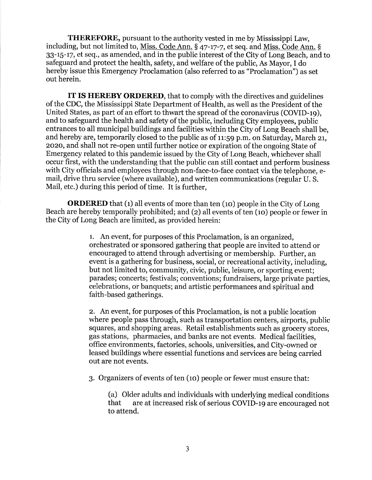THEREFORE, pursuant to the authority vested in me by Mississippi Law. including, but not limited to, Miss. Code Ann. § 47-17-7, et seq. and Miss. Code Ann. § 33-r5-r7, et seq., as amended, and in the public interest of the City of Long Beach, and to safeguard and protect the health, safety, and welfare of the public, As Mayor, I do hereby issue this Emergency Proclamation (also referred to as "Proclamation") as set out herein.

IT IS HEREBY ORDERED, that to comply with the directives and guidelines of the CDC, the Mississippi State Department of Health, as well as the President of the United States, as part of an effort to thwart the spread of the coronavirus (COVID-I9), and to safeguard the health and safety of the public, including City employees, public entrances to all municipal buildings and facilities within the City of Long Beach shall be, and hereby are, temporarily closed to the public as of 11:59 p.m. on Saturday, March 21, 2o2o, and shall not re-open until further notice or expiration of the ongoing State of Emergency related to this pandemic issued by the City of Long Beach, whichever shall occur first, with the understanding that the public can still contact and perform business with City officials and employees through non-face-to-face contact via the telephone, email, drive thru service (where available), and written communications (regular U. S. Mail, etc.) during this period of time. It is further,

**ORDERED** that  $(1)$  all events of more than ten  $(10)$  people in the City of Long Beach are hereby temporally prohibited; and (2) all events of ten (10) people or fewer in the City of Long Beach are limited, as provided herein:

> 1. An event, for purposes of this Proclamation, is an organized, orchestrated or sponsored gathering that people are invited to attend or encouraged to attend through advertising or membership. Further, an event is a gathering for business, social, or recreational activity, including, but not limited to, community, civic, public, leisure, or sporting event; parades; concerts; festivals; conventions; fundraisers, large private parties, celebrations, or banquets; and artistic performances and spiritual and faith-based gatherings.

> 2. An event, for purposes of this Proclamation, is not a public location where people pass through, such as transportation centers, airports, public squares, and shopping areas. Retail establishments such as grocery stores, gas stations, pharmacies, and banks are not events. Medical facilities, office environments, factories, schools, universities, and City-owned or leased buildings where essential functions and services are being carried out are not events.

3. Organizers of events of ten (10) people or fewer must ensure that:

(a) Older adults and individuals with underlying medical conditions that are at increased risk of serious COVID-I9 are encouraged not to attend.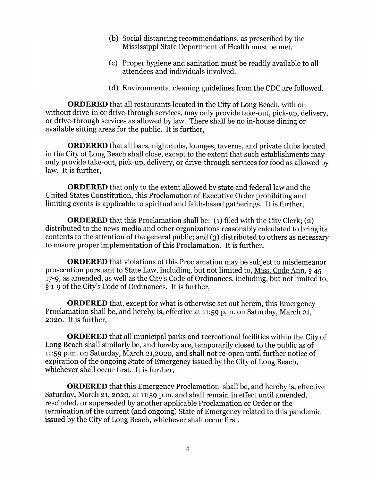- (b) Social distancing recommendations, as prescribed by the Mississippi State Department of Health must be met.
- (c) Proper hygiene and sanitation must be readily available to all attendees and individuals involved.
- (d) Environmental cleaning guidelines from the CDC are followed.

ORDERED that all restaurants located in the City of Long Beach, with or without drive-in or drive-through services, may only provide take-out, pick-up, delivery, or drive-through services as allowed by law. There shall be no in-house dining or available sitting areas for the public. It is further,

ORDERED that all bars, nightclubs, lounges, taverns, and private clubs located in the City of Long Beach shall close, except to the extent that such establishments may only provide take-out, pick-up, delivery, or drive-through services for food as allowed by law. It is further,

ORDERED that only to the extent allowed by state and federal law and the United States Constitution, this Proclamation of Executive Order prohibiting and limiting events is applicable to spiritual and faith-based gatherings. It is further,

**ORDERED** that this Proclamation shall be: (1) filed with the City Clerk; (2) distributed to the news media and other organizations reasonably calculated to bring its contents to the attention of the general public; and (g) distributed to others as necessary to ensure proper implementation of this Proclamation. It is further,

ORDERED that violations of this Proclamation may be subject to misdemeanor prosecution pursuant to State Law, including, but not limited to, Miss. Code Ann.  $\S$  45-17-9, as amended, as well as the City's Code of Ordinances, including, but not limited to, \$ t-9 of the City's Code of Ordinances. It is further,

ORDERED that, except for what is otherwise set out herein, this Emergency Proclamation shall be, and hereby is, effective at 11:59 p.m. on Saturday, March 21, 2o2o. It is further

ORDERED that all municipal parks and recreational facilities within the City of Long Beach shall similarly be, and hereby are, temporarily closed to the public as of 11:59 p.m. on Saturday, March 2r,2o2o, and shall not re-open until further notice of expiration of the ongoing State of Emergency issued by the City of Long Beach, whichever shall occur first. It is further,

ORDERED that this Emergency Proclamation shall be, and hereby is, effective Saturday, March 21, 2020, at 11:59 p.m. and shall remain in effect until amended, rescinded, or superseded by another applicable Proclamation or Order or the termination of the current (and ongoing) State of Emergency related to this pandemic issued by the City of Long Beach, whichever shall occur first.